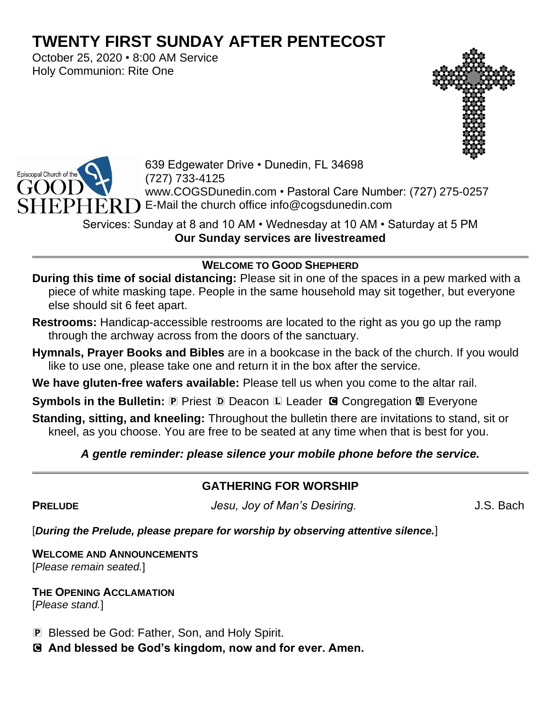# **TWENTY FIRST SUNDAY AFTER PENTECOST**

October 25, 2020 • 8:00 AM Service Holy Communion: Rite One





639 Edgewater Drive • Dunedin, FL 34698 (727) 733-4125 www.COGSDunedin.com • Pastoral Care Number: (727) 275-0257  $\{\mathbf R\}$  ) E-Mail the church office info@cogsdunedin.com

Services: Sunday at 8 and 10 AM • Wednesday at 10 AM • Saturday at 5 PM **Our Sunday services are livestreamed**

#### **WELCOME TO GOOD SHEPHERD**

**During this time of social distancing:** Please sit in one of the spaces in a pew marked with a piece of white masking tape. People in the same household may sit together, but everyone else should sit 6 feet apart.

- **Restrooms:** Handicap-accessible restrooms are located to the right as you go up the ramp through the archway across from the doors of the sanctuary.
- **Hymnals, Prayer Books and Bibles** are in a bookcase in the back of the church. If you would like to use one, please take one and return it in the box after the service.
- **We have gluten-free wafers available:** Please tell us when you come to the altar rail.

**Symbols in the Bulletin: P** Priest **D** Deacon **L** Leader **G** Congregation **M** Everyone

**Standing, sitting, and kneeling:** Throughout the bulletin there are invitations to stand, sit or kneel, as you choose. You are free to be seated at any time when that is best for you.

# *A gentle reminder: please silence your mobile phone before the service.*

# **GATHERING FOR WORSHIP**

**PRELUDE** *Jesu, Joy of Man's Desiring.* J.S. Bach

[*During the Prelude, please prepare for worship by observing attentive silence.*]

**WELCOME AND ANNOUNCEMENTS** [*Please remain seated.*]

**THE OPENING ACCLAMATION** [*Please stand.*]

P Blessed be God: Father, Son, and Holy Spirit.

C **And blessed be God's kingdom, now and for ever. Amen.**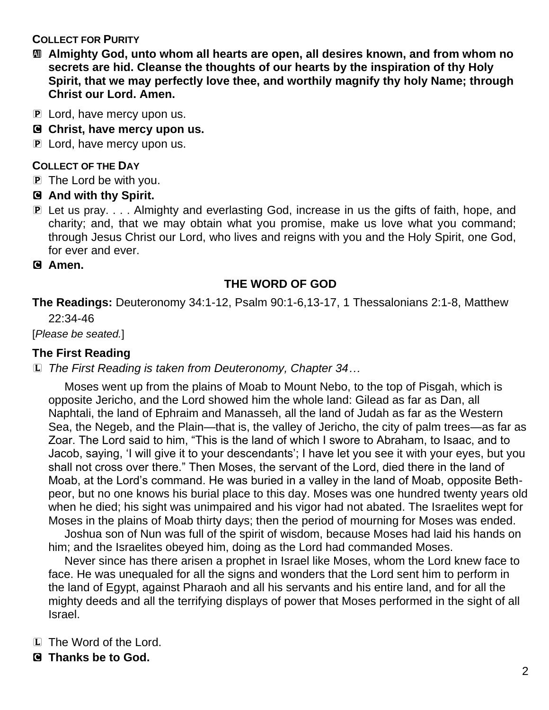**COLLECT FOR PURITY**

- a **Almighty God, unto whom all hearts are open, all desires known, and from whom no secrets are hid. Cleanse the thoughts of our hearts by the inspiration of thy Holy Spirit, that we may perfectly love thee, and worthily magnify thy holy Name; through Christ our Lord. Amen.**
- P Lord, have mercy upon us.
- C **Christ, have mercy upon us.**
- P Lord, have mercy upon us.

#### **COLLECT OF THE DAY**

- P The Lord be with you.
- C **And with thy Spirit.**
- P Let us pray. . . . Almighty and everlasting God, increase in us the gifts of faith, hope, and charity; and, that we may obtain what you promise, make us love what you command; through Jesus Christ our Lord, who lives and reigns with you and the Holy Spirit, one God, for ever and ever.

C **Amen.**

#### **THE WORD OF GOD**

**The Readings:** Deuteronomy 34:1-12, Psalm 90:1-6,13-17, 1 Thessalonians 2:1-8, Matthew

22:34-46

[*Please be seated.*]

#### **The First Reading**

L *The First Reading is taken from Deuteronomy, Chapter 34…*

Moses went up from the plains of Moab to Mount Nebo, to the top of Pisgah, which is opposite Jericho, and the Lord showed him the whole land: Gilead as far as Dan, all Naphtali, the land of Ephraim and Manasseh, all the land of Judah as far as the Western Sea, the Negeb, and the Plain—that is, the valley of Jericho, the city of palm trees—as far as Zoar. The Lord said to him, "This is the land of which I swore to Abraham, to Isaac, and to Jacob, saying, 'I will give it to your descendants'; I have let you see it with your eyes, but you shall not cross over there." Then Moses, the servant of the Lord, died there in the land of Moab, at the Lord's command. He was buried in a valley in the land of Moab, opposite Bethpeor, but no one knows his burial place to this day. Moses was one hundred twenty years old when he died; his sight was unimpaired and his vigor had not abated. The Israelites wept for Moses in the plains of Moab thirty days; then the period of mourning for Moses was ended.

Joshua son of Nun was full of the spirit of wisdom, because Moses had laid his hands on him; and the Israelites obeyed him, doing as the Lord had commanded Moses.

Never since has there arisen a prophet in Israel like Moses, whom the Lord knew face to face. He was unequaled for all the signs and wonders that the Lord sent him to perform in the land of Egypt, against Pharaoh and all his servants and his entire land, and for all the mighty deeds and all the terrifying displays of power that Moses performed in the sight of all Israel.

- L The Word of the Lord.
- C **Thanks be to God.**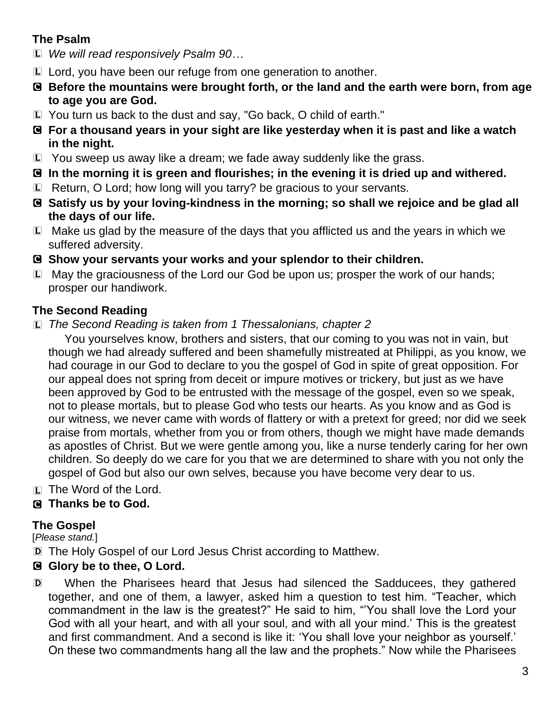## **The Psalm**

- L *We will read responsively Psalm 90…*
- L Lord, you have been our refuge from one generation to another.
- C **Before the mountains were brought forth, or the land and the earth were born, from age to age you are God.**
- L You turn us back to the dust and say, "Go back, O child of earth."
- C **For a thousand years in your sight are like yesterday when it is past and like a watch in the night.**
- L You sweep us away like a dream; we fade away suddenly like the grass.
- C **In the morning it is green and flourishes; in the evening it is dried up and withered.**
- L Return, O Lord; how long will you tarry? be gracious to your servants.
- C **Satisfy us by your loving-kindness in the morning; so shall we rejoice and be glad all the days of our life.**
- L Make us glad by the measure of the days that you afflicted us and the years in which we suffered adversity.
- C **Show your servants your works and your splendor to their children.**
- L May the graciousness of the Lord our God be upon us; prosper the work of our hands; prosper our handiwork.

# **The Second Reading**

L *The Second Reading is taken from 1 Thessalonians, chapter 2*

You yourselves know, brothers and sisters, that our coming to you was not in vain, but though we had already suffered and been shamefully mistreated at Philippi, as you know, we had courage in our God to declare to you the gospel of God in spite of great opposition. For our appeal does not spring from deceit or impure motives or trickery, but just as we have been approved by God to be entrusted with the message of the gospel, even so we speak, not to please mortals, but to please God who tests our hearts. As you know and as God is our witness, we never came with words of flattery or with a pretext for greed; nor did we seek praise from mortals, whether from you or from others, though we might have made demands as apostles of Christ. But we were gentle among you, like a nurse tenderly caring for her own children. So deeply do we care for you that we are determined to share with you not only the gospel of God but also our own selves, because you have become very dear to us.

L The Word of the Lord.

# C **Thanks be to God.**

# **The Gospel**

[*Please stand.*]

D The Holy Gospel of our Lord Jesus Christ according to Matthew.

# C **Glory be to thee, O Lord.**

D When the Pharisees heard that Jesus had silenced the Sadducees, they gathered together, and one of them, a lawyer, asked him a question to test him. "Teacher, which commandment in the law is the greatest?" He said to him, "'You shall love the Lord your God with all your heart, and with all your soul, and with all your mind.' This is the greatest and first commandment. And a second is like it: 'You shall love your neighbor as yourself.' On these two commandments hang all the law and the prophets." Now while the Pharisees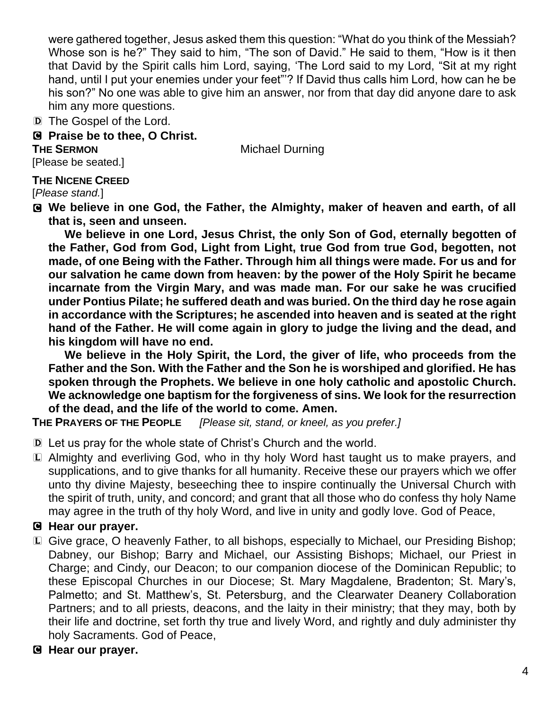were gathered together, Jesus asked them this question: "What do you think of the Messiah? Whose son is he?" They said to him, "The son of David." He said to them, "How is it then that David by the Spirit calls him Lord, saying, 'The Lord said to my Lord, "Sit at my right hand, until I put your enemies under your feet"? If David thus calls him Lord, how can he be his son?" No one was able to give him an answer, nor from that day did anyone dare to ask him any more questions.

D The Gospel of the Lord.

#### C **Praise be to thee, O Christ.**

**THE SERMON** Michael Durning

# [Please be seated.]

#### **THE NICENE CREED**

[*Please stand.*]

C **We believe in one God, the Father, the Almighty, maker of heaven and earth, of all that is, seen and unseen.** 

**We believe in one Lord, Jesus Christ, the only Son of God, eternally begotten of the Father, God from God, Light from Light, true God from true God, begotten, not made, of one Being with the Father. Through him all things were made. For us and for our salvation he came down from heaven: by the power of the Holy Spirit he became incarnate from the Virgin Mary, and was made man. For our sake he was crucified under Pontius Pilate; he suffered death and was buried. On the third day he rose again in accordance with the Scriptures; he ascended into heaven and is seated at the right hand of the Father. He will come again in glory to judge the living and the dead, and his kingdom will have no end.**

**We believe in the Holy Spirit, the Lord, the giver of life, who proceeds from the Father and the Son. With the Father and the Son he is worshiped and glorified. He has spoken through the Prophets. We believe in one holy catholic and apostolic Church. We acknowledge one baptism for the forgiveness of sins. We look for the resurrection of the dead, and the life of the world to come. Amen.**

**THE PRAYERS OF THE PEOPLE** *[Please sit, stand, or kneel, as you prefer.]*

- D Let us pray for the whole state of Christ's Church and the world.
- L Almighty and everliving God, who in thy holy Word hast taught us to make prayers, and supplications, and to give thanks for all humanity. Receive these our prayers which we offer unto thy divine Majesty, beseeching thee to inspire continually the Universal Church with the spirit of truth, unity, and concord; and grant that all those who do confess thy holy Name may agree in the truth of thy holy Word, and live in unity and godly love. God of Peace,

### C **Hear our prayer.**

- L Give grace, O heavenly Father, to all bishops, especially to Michael, our Presiding Bishop; Dabney, our Bishop; Barry and Michael, our Assisting Bishops; Michael, our Priest in Charge; and Cindy, our Deacon; to our companion diocese of the Dominican Republic; to these Episcopal Churches in our Diocese; St. Mary Magdalene, Bradenton; St. Mary's, Palmetto; and St. Matthew's, St. Petersburg, and the Clearwater Deanery Collaboration Partners; and to all priests, deacons, and the laity in their ministry; that they may, both by their life and doctrine, set forth thy true and lively Word, and rightly and duly administer thy holy Sacraments. God of Peace,
- C **Hear our prayer.**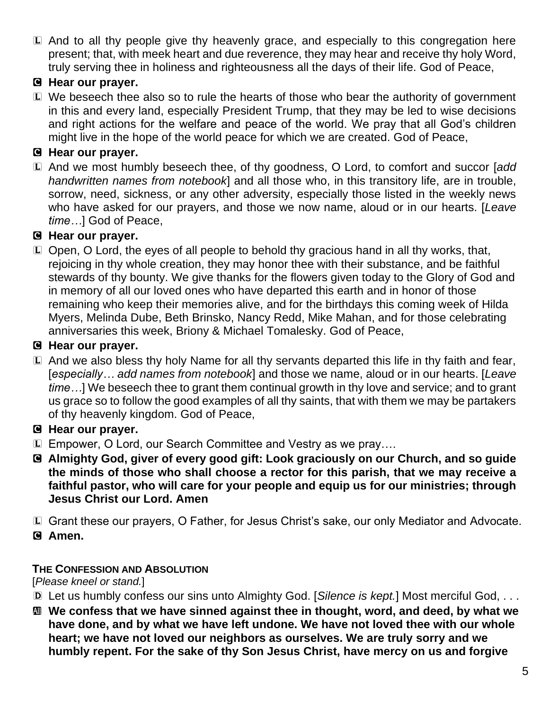L And to all thy people give thy heavenly grace, and especially to this congregation here present; that, with meek heart and due reverence, they may hear and receive thy holy Word, truly serving thee in holiness and righteousness all the days of their life. God of Peace,

#### C **Hear our prayer.**

L We beseech thee also so to rule the hearts of those who bear the authority of government in this and every land, especially President Trump, that they may be led to wise decisions and right actions for the welfare and peace of the world. We pray that all God's children might live in the hope of the world peace for which we are created. God of Peace,

#### C **Hear our prayer.**

L And we most humbly beseech thee, of thy goodness, O Lord, to comfort and succor [*add handwritten names from notebook*] and all those who, in this transitory life, are in trouble, sorrow, need, sickness, or any other adversity, especially those listed in the weekly news who have asked for our prayers, and those we now name, aloud or in our hearts. [*Leave time…*] God of Peace,

#### C **Hear our prayer.**

L Open, O Lord, the eyes of all people to behold thy gracious hand in all thy works, that, rejoicing in thy whole creation, they may honor thee with their substance, and be faithful stewards of thy bounty. We give thanks for the flowers given today to the Glory of God and in memory of all our loved ones who have departed this earth and in honor of those remaining who keep their memories alive, and for the birthdays this coming week of Hilda Myers, Melinda Dube, Beth Brinsko, Nancy Redd, Mike Mahan, and for those celebrating anniversaries this week, Briony & Michael Tomalesky. God of Peace,

#### C **Hear our prayer.**

L And we also bless thy holy Name for all thy servants departed this life in thy faith and fear, [*especially… add names from notebook*] and those we name, aloud or in our hearts. [*Leave time…*] We beseech thee to grant them continual growth in thy love and service; and to grant us grace so to follow the good examples of all thy saints, that with them we may be partakers of thy heavenly kingdom. God of Peace,

#### C **Hear our prayer.**

- L Empower, O Lord, our Search Committee and Vestry as we pray….
- C **Almighty God, giver of every good gift: Look graciously on our Church, and so guide the minds of those who shall choose a rector for this parish, that we may receive a faithful pastor, who will care for your people and equip us for our ministries; through Jesus Christ our Lord. Amen**
- L Grant these our prayers, O Father, for Jesus Christ's sake, our only Mediator and Advocate.
- C **Amen.**

#### **THE CONFESSION AND ABSOLUTION**

#### [*Please kneel or stand.*]

- D Let us humbly confess our sins unto Almighty God. [*Silence is kept.*] Most merciful God, . . .
- a **We confess that we have sinned against thee in thought, word, and deed, by what we have done, and by what we have left undone. We have not loved thee with our whole heart; we have not loved our neighbors as ourselves. We are truly sorry and we humbly repent. For the sake of thy Son Jesus Christ, have mercy on us and forgive**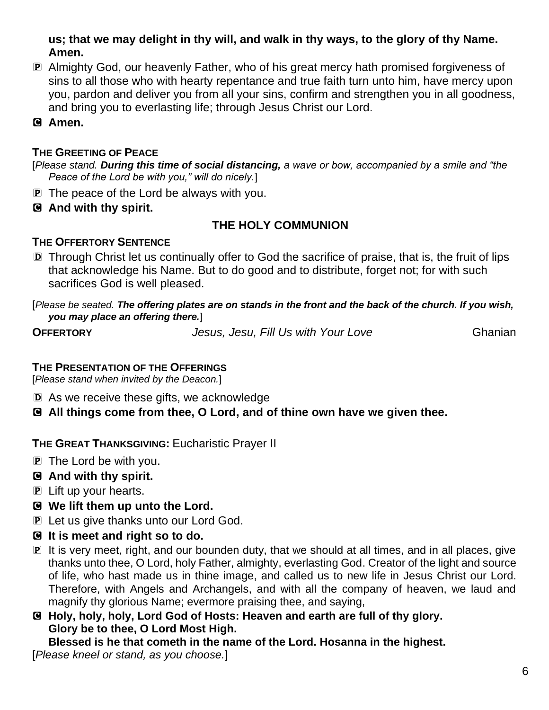#### **us; that we may delight in thy will, and walk in thy ways, to the glory of thy Name. Amen.**

- P Almighty God, our heavenly Father, who of his great mercy hath promised forgiveness of sins to all those who with hearty repentance and true faith turn unto him, have mercy upon you, pardon and deliver you from all your sins, confirm and strengthen you in all goodness, and bring you to everlasting life; through Jesus Christ our Lord.
- C **Amen.**

#### **THE GREETING OF PEACE**

[*Please stand. During this time of social distancing, a wave or bow, accompanied by a smile and "the Peace of the Lord be with you," will do nicely.*]

- P The peace of the Lord be always with you.
- C **And with thy spirit.**

# **THE HOLY COMMUNION**

#### **THE OFFERTORY SENTENCE**

- D Through Christ let us continually offer to God the sacrifice of praise, that is, the fruit of lips that acknowledge his Name. But to do good and to distribute, forget not; for with such sacrifices God is well pleased.
- [*Please be seated. The offering plates are on stands in the front and the back of the church. If you wish, you may place an offering there.*]

**OFFERTORY** *Jesus, Jesu, Fill Us with Your Love* Ghanian

#### **THE PRESENTATION OF THE OFFERINGS**

[*Please stand when invited by the Deacon.*]

- D As we receive these gifts, we acknowledge
- C **All things come from thee, O Lord, and of thine own have we given thee.**

#### **THE GREAT THANKSGIVING:** Eucharistic Prayer II

- P The Lord be with you.
- C **And with thy spirit.**
- P Lift up your hearts.
- C **We lift them up unto the Lord.**
- P Let us give thanks unto our Lord God.
- C **It is meet and right so to do.**
- P It is very meet, right, and our bounden duty, that we should at all times, and in all places, give thanks unto thee, O Lord, holy Father, almighty, everlasting God. Creator of the light and source of life, who hast made us in thine image, and called us to new life in Jesus Christ our Lord. Therefore, with Angels and Archangels, and with all the company of heaven, we laud and magnify thy glorious Name; evermore praising thee, and saying,
- C **Holy, holy, holy, Lord God of Hosts: Heaven and earth are full of thy glory. Glory be to thee, O Lord Most High.**

**Blessed is he that cometh in the name of the Lord. Hosanna in the highest.** [*Please kneel or stand, as you choose.*]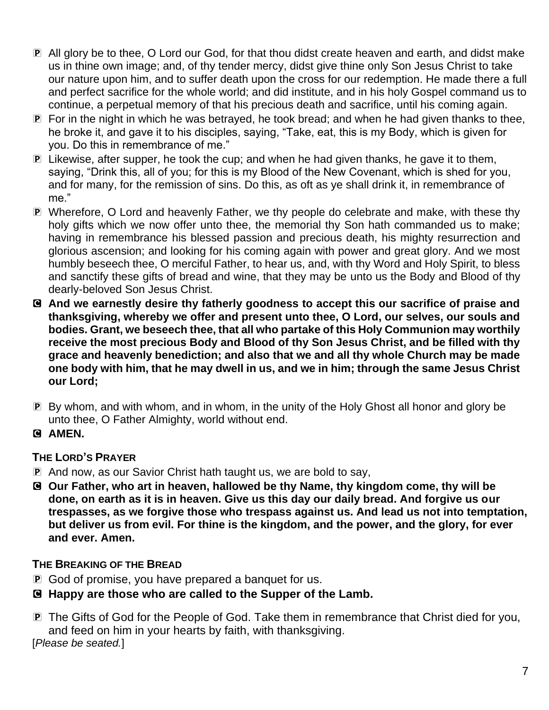- P All glory be to thee, O Lord our God, for that thou didst create heaven and earth, and didst make us in thine own image; and, of thy tender mercy, didst give thine only Son Jesus Christ to take our nature upon him, and to suffer death upon the cross for our redemption. He made there a full and perfect sacrifice for the whole world; and did institute, and in his holy Gospel command us to continue, a perpetual memory of that his precious death and sacrifice, until his coming again.
- P For in the night in which he was betrayed, he took bread; and when he had given thanks to thee, he broke it, and gave it to his disciples, saying, "Take, eat, this is my Body, which is given for you. Do this in remembrance of me."
- P Likewise, after supper, he took the cup; and when he had given thanks, he gave it to them, saying, "Drink this, all of you; for this is my Blood of the New Covenant, which is shed for you, and for many, for the remission of sins. Do this, as oft as ye shall drink it, in remembrance of me."
- P Wherefore, O Lord and heavenly Father, we thy people do celebrate and make, with these thy holy gifts which we now offer unto thee, the memorial thy Son hath commanded us to make; having in remembrance his blessed passion and precious death, his mighty resurrection and glorious ascension; and looking for his coming again with power and great glory. And we most humbly beseech thee, O merciful Father, to hear us, and, with thy Word and Holy Spirit, to bless and sanctify these gifts of bread and wine, that they may be unto us the Body and Blood of thy dearly-beloved Son Jesus Christ.
- C **And we earnestly desire thy fatherly goodness to accept this our sacrifice of praise and thanksgiving, whereby we offer and present unto thee, O Lord, our selves, our souls and bodies. Grant, we beseech thee, that all who partake of this Holy Communion may worthily receive the most precious Body and Blood of thy Son Jesus Christ, and be filled with thy grace and heavenly benediction; and also that we and all thy whole Church may be made one body with him, that he may dwell in us, and we in him; through the same Jesus Christ our Lord;**
- P By whom, and with whom, and in whom, in the unity of the Holy Ghost all honor and glory be unto thee, O Father Almighty, world without end.
- C **AMEN.**

#### **THE LORD'S PRAYER**

- P And now, as our Savior Christ hath taught us, we are bold to say,
- C **Our Father, who art in heaven, hallowed be thy Name, thy kingdom come, thy will be done, on earth as it is in heaven. Give us this day our daily bread. And forgive us our trespasses, as we forgive those who trespass against us. And lead us not into temptation, but deliver us from evil. For thine is the kingdom, and the power, and the glory, for ever and ever. Amen.**

#### **THE BREAKING OF THE BREAD**

- P God of promise, you have prepared a banquet for us.
- C **Happy are those who are called to the Supper of the Lamb.**
- P The Gifts of God for the People of God. Take them in remembrance that Christ died for you, and feed on him in your hearts by faith, with thanksgiving. [*Please be seated.*]